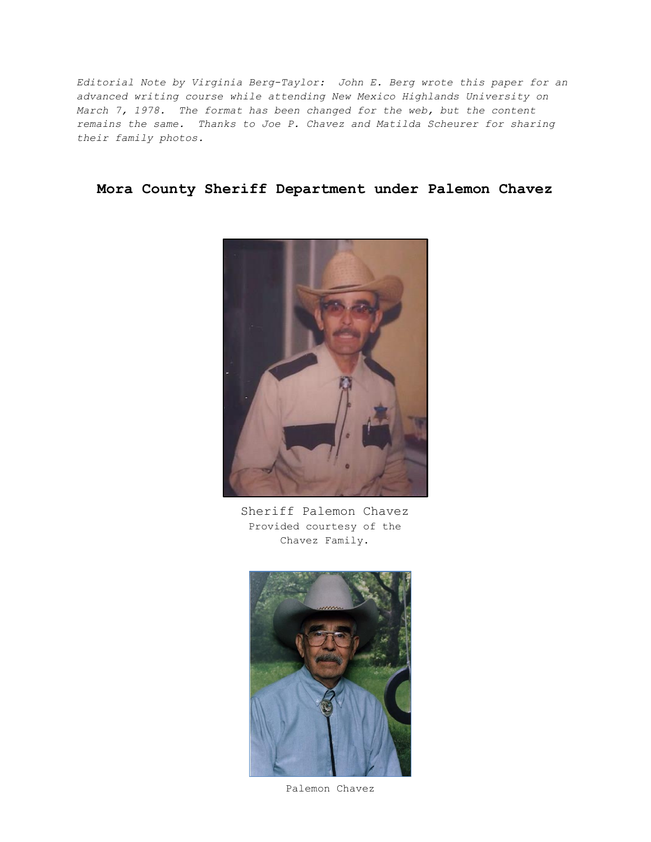*Editorial Note by Virginia Berg-Taylor: John E. Berg wrote this paper for an advanced writing course while attending New Mexico Highlands University on March 7, 1978. The format has been changed for the web, but the content remains the same. Thanks to Joe P. Chavez and Matilda Scheurer for sharing their family photos.*

## **Mora County Sheriff Department under Palemon Chavez**



Sheriff Palemon Chavez Provided courtesy of the Chavez Family.



Palemon Chavez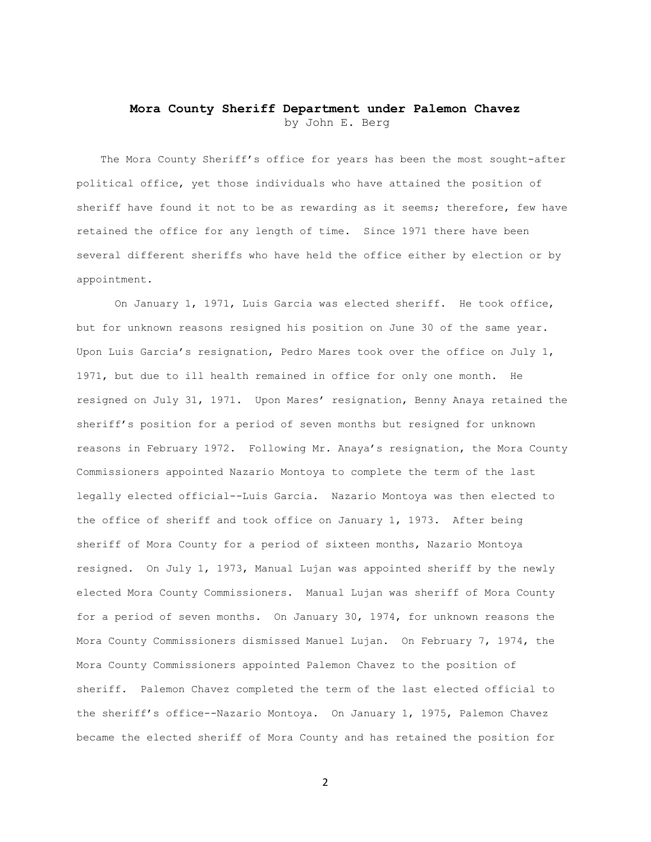## **Mora County Sheriff Department under Palemon Chavez** by John E. Berg

The Mora County Sheriff's office for years has been the most sought-after political office, yet those individuals who have attained the position of sheriff have found it not to be as rewarding as it seems; therefore, few have retained the office for any length of time. Since 1971 there have been several different sheriffs who have held the office either by election or by appointment.

On January 1, 1971, Luis Garcia was elected sheriff. He took office, but for unknown reasons resigned his position on June 30 of the same year. Upon Luis Garcia's resignation, Pedro Mares took over the office on July 1, 1971, but due to ill health remained in office for only one month. He resigned on July 31, 1971. Upon Mares' resignation, Benny Anaya retained the sheriff's position for a period of seven months but resigned for unknown reasons in February 1972. Following Mr. Anaya's resignation, the Mora County Commissioners appointed Nazario Montoya to complete the term of the last legally elected official--Luis Garcia. Nazario Montoya was then elected to the office of sheriff and took office on January 1, 1973. After being sheriff of Mora County for a period of sixteen months, Nazario Montoya resigned. On July 1, 1973, Manual Lujan was appointed sheriff by the newly elected Mora County Commissioners. Manual Lujan was sheriff of Mora County for a period of seven months. On January 30, 1974, for unknown reasons the Mora County Commissioners dismissed Manuel Lujan. On February 7, 1974, the Mora County Commissioners appointed Palemon Chavez to the position of sheriff. Palemon Chavez completed the term of the last elected official to the sheriff's office--Nazario Montoya. On January 1, 1975, Palemon Chavez became the elected sheriff of Mora County and has retained the position for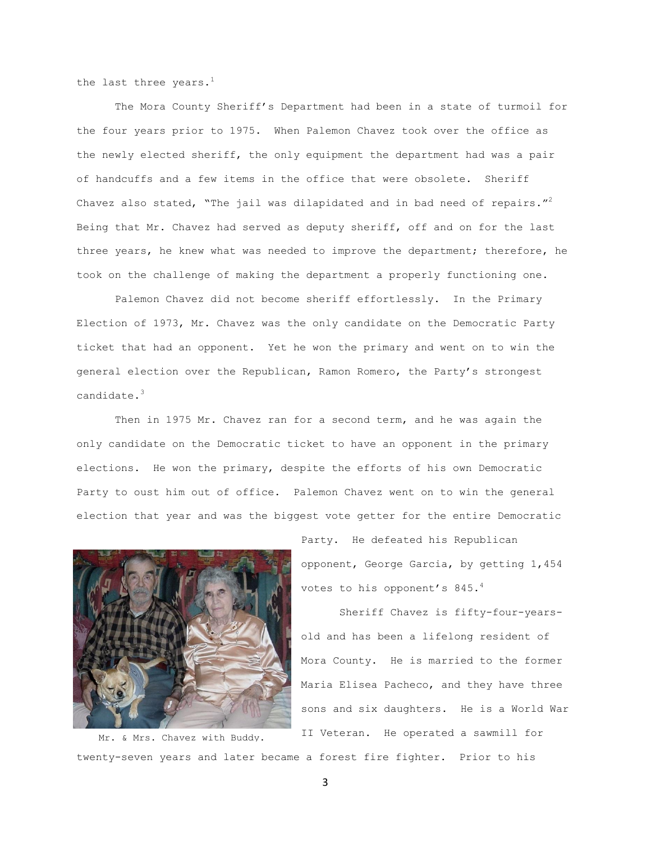the last three years. $<sup>1</sup>$ </sup>

The Mora County Sheriff's Department had been in a state of turmoil for the four years prior to 1975. When Palemon Chavez took over the office as the newly elected sheriff, the only equipment the department had was a pair of handcuffs and a few items in the office that were obsolete. Sheriff Chavez also stated, "The jail was dilapidated and in bad need of repairs."<sup>2</sup> Being that Mr. Chavez had served as deputy sheriff, off and on for the last three years, he knew what was needed to improve the department; therefore, he took on the challenge of making the department a properly functioning one.

Palemon Chavez did not become sheriff effortlessly. In the Primary Election of 1973, Mr. Chavez was the only candidate on the Democratic Party ticket that had an opponent. Yet he won the primary and went on to win the general election over the Republican, Ramon Romero, the Party's strongest candidate.<sup>3</sup>

Then in 1975 Mr. Chavez ran for a second term, and he was again the only candidate on the Democratic ticket to have an opponent in the primary elections. He won the primary, despite the efforts of his own Democratic Party to oust him out of office. Palemon Chavez went on to win the general election that year and was the biggest vote getter for the entire Democratic



twenty-seven years and later became a forest fire fighter. Prior to his Mr. & Mrs. Chavez with Buddy.

Party. He defeated his Republican opponent, George Garcia, by getting 1,454 votes to his opponent's 845.<sup>4</sup>

Sheriff Chavez is fifty-four-yearsold and has been a lifelong resident of Mora County. He is married to the former Maria Elisea Pacheco, and they have three sons and six daughters. He is a World War II Veteran. He operated a sawmill for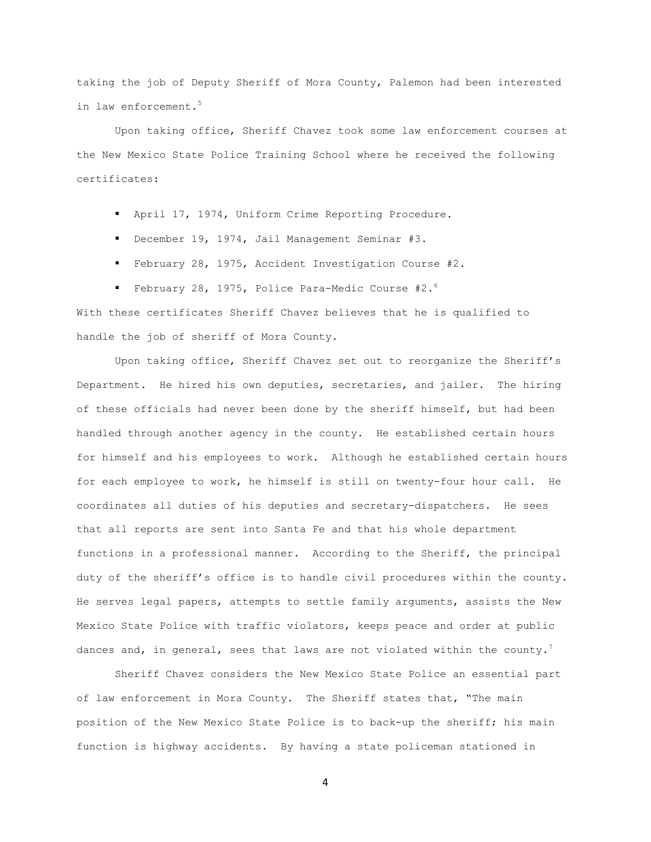taking the job of Deputy Sheriff of Mora County, Palemon had been interested in law enforcement.<sup>5</sup>

Upon taking office, Sheriff Chavez took some law enforcement courses at the New Mexico State Police Training School where he received the following certificates:

- April 17, 1974, Uniform Crime Reporting Procedure.
- December 19, 1974, Jail Management Seminar #3.
- February 28, 1975, Accident Investigation Course #2.
- February 28, 1975, Police Para-Medic Course #2. $^6$

With these certificates Sheriff Chavez believes that he is qualified to handle the job of sheriff of Mora County.

Upon taking office, Sheriff Chavez set out to reorganize the Sheriff's Department. He hired his own deputies, secretaries, and jailer. The hiring of these officials had never been done by the sheriff himself, but had been handled through another agency in the county. He established certain hours for himself and his employees to work. Although he established certain hours for each employee to work, he himself is still on twenty-four hour call. He coordinates all duties of his deputies and secretary-dispatchers. He sees that all reports are sent into Santa Fe and that his whole department functions in a professional manner. According to the Sheriff, the principal duty of the sheriff's office is to handle civil procedures within the county. He serves legal papers, attempts to settle family arguments, assists the New Mexico State Police with traffic violators, keeps peace and order at public dances and, in general, sees that laws are not violated within the county.<sup>7</sup>

Sheriff Chavez considers the New Mexico State Police an essential part of law enforcement in Mora County. The Sheriff states that, "The main position of the New Mexico State Police is to back-up the sheriff; his main function is highway accidents. By having a state policeman stationed in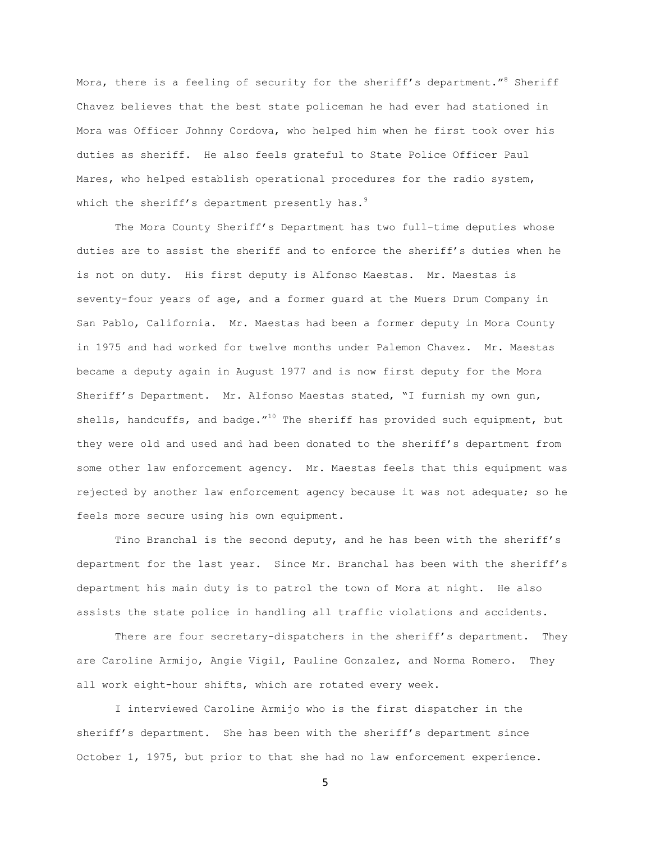Mora, there is a feeling of security for the sheriff's department."<sup>8</sup> Sheriff Chavez believes that the best state policeman he had ever had stationed in Mora was Officer Johnny Cordova, who helped him when he first took over his duties as sheriff. He also feels grateful to State Police Officer Paul Mares, who helped establish operational procedures for the radio system, which the sheriff's department presently has. $9$ 

The Mora County Sheriff's Department has two full-time deputies whose duties are to assist the sheriff and to enforce the sheriff's duties when he is not on duty. His first deputy is Alfonso Maestas. Mr. Maestas is seventy-four years of age, and a former guard at the Muers Drum Company in San Pablo, California. Mr. Maestas had been a former deputy in Mora County in 1975 and had worked for twelve months under Palemon Chavez. Mr. Maestas became a deputy again in August 1977 and is now first deputy for the Mora Sheriff's Department. Mr. Alfonso Maestas stated, "I furnish my own gun, shells, handcuffs, and badge."<sup>10</sup> The sheriff has provided such equipment, but they were old and used and had been donated to the sheriff's department from some other law enforcement agency. Mr. Maestas feels that this equipment was rejected by another law enforcement agency because it was not adequate; so he feels more secure using his own equipment.

Tino Branchal is the second deputy, and he has been with the sheriff's department for the last year. Since Mr. Branchal has been with the sheriff's department his main duty is to patrol the town of Mora at night. He also assists the state police in handling all traffic violations and accidents.

There are four secretary-dispatchers in the sheriff's department. They are Caroline Armijo, Angie Vigil, Pauline Gonzalez, and Norma Romero. They all work eight-hour shifts, which are rotated every week.

I interviewed Caroline Armijo who is the first dispatcher in the sheriff's department. She has been with the sheriff's department since October 1, 1975, but prior to that she had no law enforcement experience.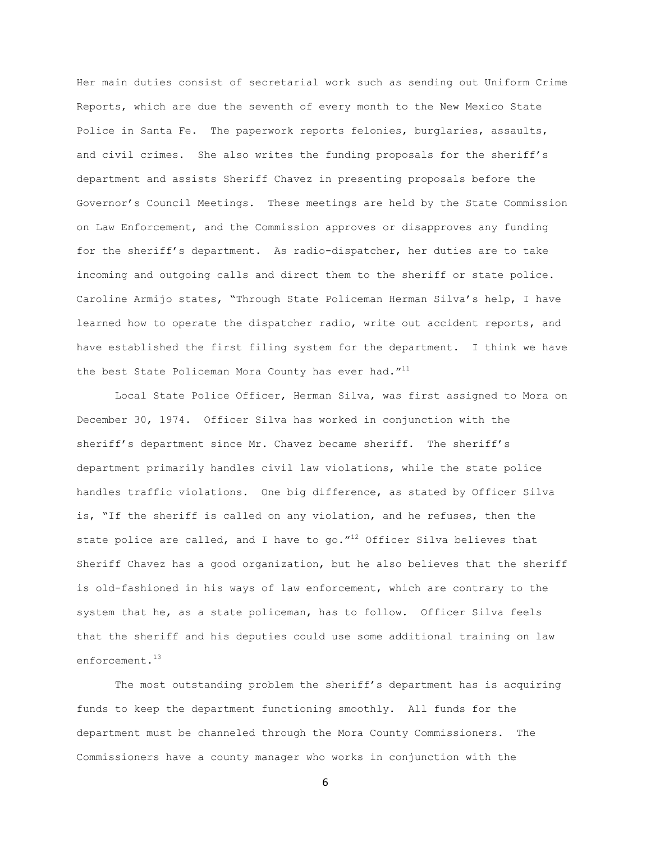Her main duties consist of secretarial work such as sending out Uniform Crime Reports, which are due the seventh of every month to the New Mexico State Police in Santa Fe. The paperwork reports felonies, burglaries, assaults, and civil crimes. She also writes the funding proposals for the sheriff's department and assists Sheriff Chavez in presenting proposals before the Governor's Council Meetings. These meetings are held by the State Commission on Law Enforcement, and the Commission approves or disapproves any funding for the sheriff's department. As radio-dispatcher, her duties are to take incoming and outgoing calls and direct them to the sheriff or state police. Caroline Armijo states, "Through State Policeman Herman Silva's help, I have learned how to operate the dispatcher radio, write out accident reports, and have established the first filing system for the department. I think we have the best State Policeman Mora County has ever had.  $''^{11}$ 

Local State Police Officer, Herman Silva, was first assigned to Mora on December 30, 1974. Officer Silva has worked in conjunction with the sheriff's department since Mr. Chavez became sheriff. The sheriff's department primarily handles civil law violations, while the state police handles traffic violations. One big difference, as stated by Officer Silva is, "If the sheriff is called on any violation, and he refuses, then the state police are called, and I have to go." $^{12}$  Officer Silva believes that Sheriff Chavez has a good organization, but he also believes that the sheriff is old-fashioned in his ways of law enforcement, which are contrary to the system that he, as a state policeman, has to follow. Officer Silva feels that the sheriff and his deputies could use some additional training on law enforcement.<sup>13</sup>

The most outstanding problem the sheriff's department has is acquiring funds to keep the department functioning smoothly. All funds for the department must be channeled through the Mora County Commissioners. The Commissioners have a county manager who works in conjunction with the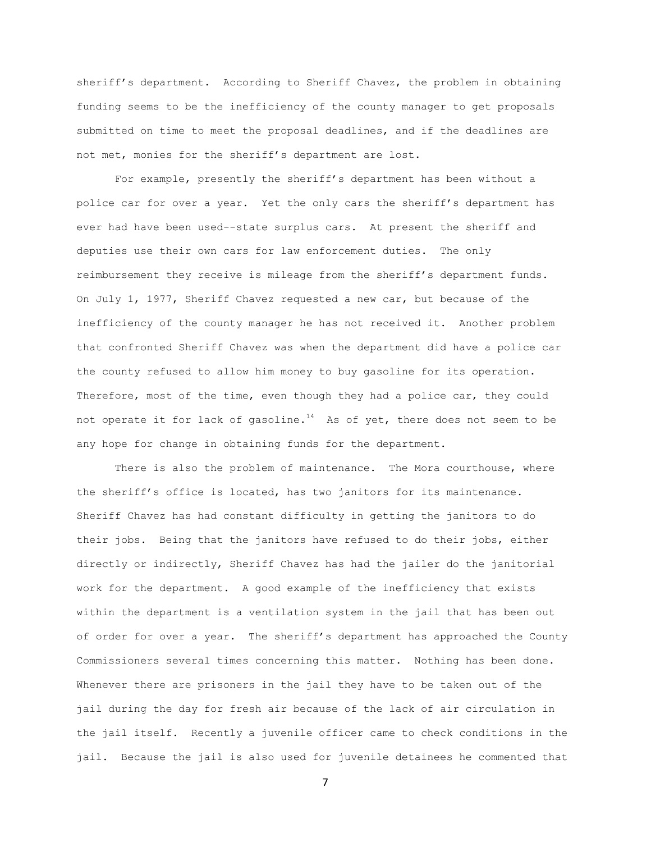sheriff's department. According to Sheriff Chavez, the problem in obtaining funding seems to be the inefficiency of the county manager to get proposals submitted on time to meet the proposal deadlines, and if the deadlines are not met, monies for the sheriff's department are lost.

For example, presently the sheriff's department has been without a police car for over a year. Yet the only cars the sheriff's department has ever had have been used--state surplus cars. At present the sheriff and deputies use their own cars for law enforcement duties. The only reimbursement they receive is mileage from the sheriff's department funds. On July 1, 1977, Sheriff Chavez requested a new car, but because of the inefficiency of the county manager he has not received it. Another problem that confronted Sheriff Chavez was when the department did have a police car the county refused to allow him money to buy gasoline for its operation. Therefore, most of the time, even though they had a police car, they could not operate it for lack of gasoline.<sup>14</sup> As of yet, there does not seem to be any hope for change in obtaining funds for the department.

There is also the problem of maintenance. The Mora courthouse, where the sheriff's office is located, has two janitors for its maintenance. Sheriff Chavez has had constant difficulty in getting the janitors to do their jobs. Being that the janitors have refused to do their jobs, either directly or indirectly, Sheriff Chavez has had the jailer do the janitorial work for the department. A good example of the inefficiency that exists within the department is a ventilation system in the jail that has been out of order for over a year. The sheriff's department has approached the County Commissioners several times concerning this matter. Nothing has been done. Whenever there are prisoners in the jail they have to be taken out of the jail during the day for fresh air because of the lack of air circulation in the jail itself. Recently a juvenile officer came to check conditions in the jail. Because the jail is also used for juvenile detainees he commented that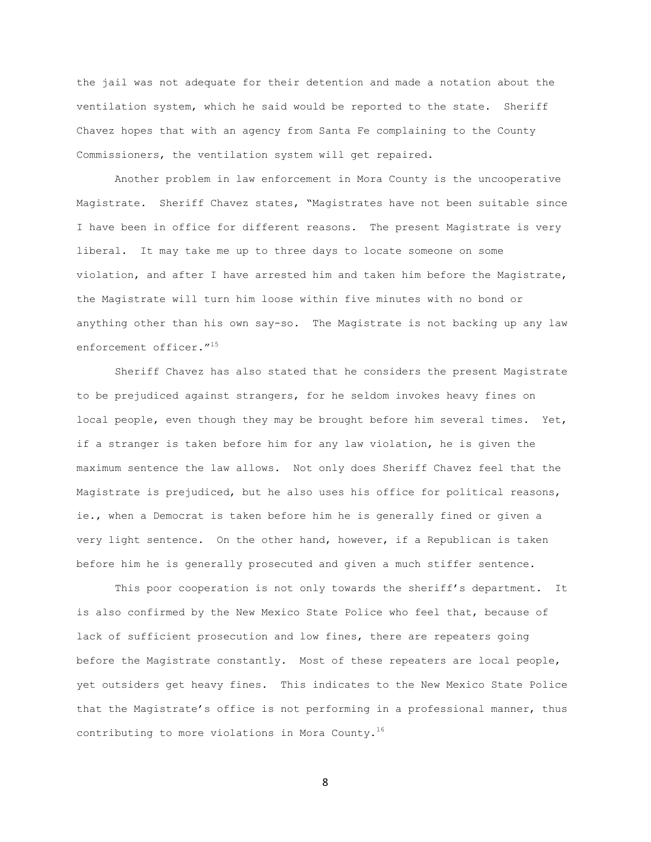the jail was not adequate for their detention and made a notation about the ventilation system, which he said would be reported to the state. Sheriff Chavez hopes that with an agency from Santa Fe complaining to the County Commissioners, the ventilation system will get repaired.

Another problem in law enforcement in Mora County is the uncooperative Magistrate. Sheriff Chavez states, "Magistrates have not been suitable since I have been in office for different reasons. The present Magistrate is very liberal. It may take me up to three days to locate someone on some violation, and after I have arrested him and taken him before the Magistrate, the Magistrate will turn him loose within five minutes with no bond or anything other than his own say-so. The Magistrate is not backing up any law enforcement officer."<sup>15</sup>

Sheriff Chavez has also stated that he considers the present Magistrate to be prejudiced against strangers, for he seldom invokes heavy fines on local people, even though they may be brought before him several times. Yet, if a stranger is taken before him for any law violation, he is given the maximum sentence the law allows. Not only does Sheriff Chavez feel that the Magistrate is prejudiced, but he also uses his office for political reasons, ie., when a Democrat is taken before him he is generally fined or given a very light sentence. On the other hand, however, if a Republican is taken before him he is generally prosecuted and given a much stiffer sentence.

This poor cooperation is not only towards the sheriff's department. It is also confirmed by the New Mexico State Police who feel that, because of lack of sufficient prosecution and low fines, there are repeaters going before the Magistrate constantly. Most of these repeaters are local people, yet outsiders get heavy fines. This indicates to the New Mexico State Police that the Magistrate's office is not performing in a professional manner, thus contributing to more violations in Mora County.<sup>16</sup>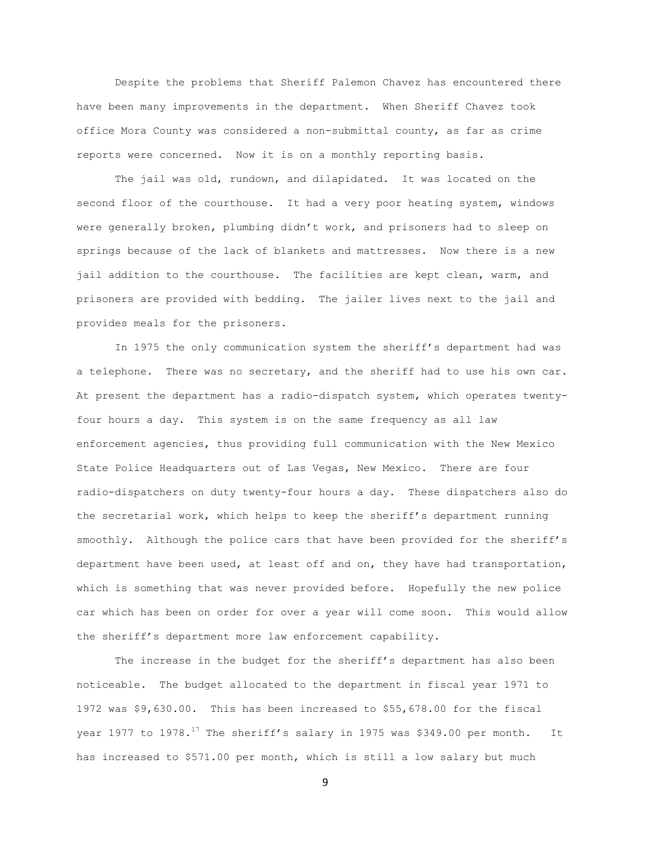Despite the problems that Sheriff Palemon Chavez has encountered there have been many improvements in the department. When Sheriff Chavez took office Mora County was considered a non-submittal county, as far as crime reports were concerned. Now it is on a monthly reporting basis.

The jail was old, rundown, and dilapidated. It was located on the second floor of the courthouse. It had a very poor heating system, windows were generally broken, plumbing didn't work, and prisoners had to sleep on springs because of the lack of blankets and mattresses. Now there is a new jail addition to the courthouse. The facilities are kept clean, warm, and prisoners are provided with bedding. The jailer lives next to the jail and provides meals for the prisoners.

In 1975 the only communication system the sheriff's department had was a telephone. There was no secretary, and the sheriff had to use his own car. At present the department has a radio-dispatch system, which operates twentyfour hours a day. This system is on the same frequency as all law enforcement agencies, thus providing full communication with the New Mexico State Police Headquarters out of Las Vegas, New Mexico. There are four radio-dispatchers on duty twenty-four hours a day. These dispatchers also do the secretarial work, which helps to keep the sheriff's department running smoothly. Although the police cars that have been provided for the sheriff's department have been used, at least off and on, they have had transportation, which is something that was never provided before. Hopefully the new police car which has been on order for over a year will come soon. This would allow the sheriff's department more law enforcement capability.

The increase in the budget for the sheriff's department has also been noticeable. The budget allocated to the department in fiscal year 1971 to 1972 was \$9,630.00. This has been increased to \$55,678.00 for the fiscal year 1977 to 1978.<sup>17</sup> The sheriff's salary in 1975 was \$349.00 per month. It has increased to \$571.00 per month, which is still a low salary but much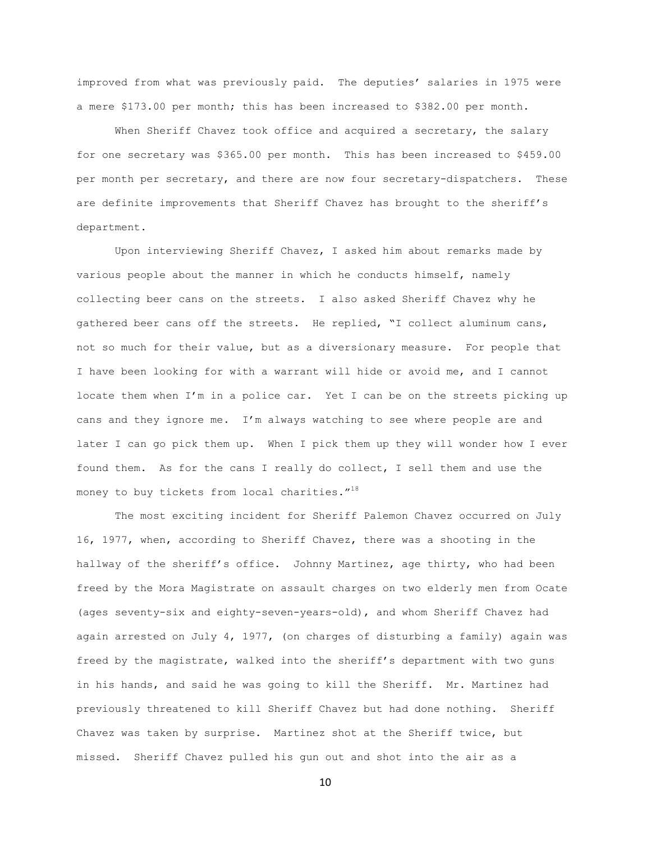improved from what was previously paid. The deputies' salaries in 1975 were a mere \$173.00 per month; this has been increased to \$382.00 per month.

When Sheriff Chavez took office and acquired a secretary, the salary for one secretary was \$365.00 per month. This has been increased to \$459.00 per month per secretary, and there are now four secretary-dispatchers. These are definite improvements that Sheriff Chavez has brought to the sheriff's department.

Upon interviewing Sheriff Chavez, I asked him about remarks made by various people about the manner in which he conducts himself, namely collecting beer cans on the streets. I also asked Sheriff Chavez why he gathered beer cans off the streets. He replied, "I collect aluminum cans, not so much for their value, but as a diversionary measure. For people that I have been looking for with a warrant will hide or avoid me, and I cannot locate them when I'm in a police car. Yet I can be on the streets picking up cans and they ignore me. I'm always watching to see where people are and later I can go pick them up. When I pick them up they will wonder how I ever found them. As for the cans I really do collect, I sell them and use the money to buy tickets from local charities."<sup>18</sup>

The most exciting incident for Sheriff Palemon Chavez occurred on July 16, 1977, when, according to Sheriff Chavez, there was a shooting in the hallway of the sheriff's office. Johnny Martinez, age thirty, who had been freed by the Mora Magistrate on assault charges on two elderly men from Ocate (ages seventy-six and eighty-seven-years-old), and whom Sheriff Chavez had again arrested on July 4, 1977, (on charges of disturbing a family) again was freed by the magistrate, walked into the sheriff's department with two guns in his hands, and said he was going to kill the Sheriff. Mr. Martinez had previously threatened to kill Sheriff Chavez but had done nothing. Sheriff Chavez was taken by surprise. Martinez shot at the Sheriff twice, but missed. Sheriff Chavez pulled his gun out and shot into the air as a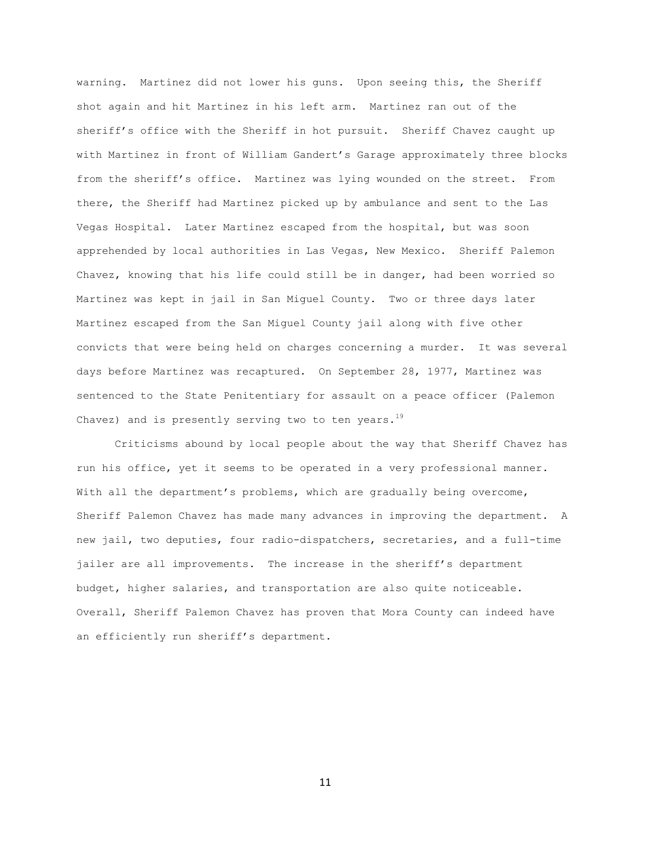warning. Martinez did not lower his guns. Upon seeing this, the Sheriff shot again and hit Martinez in his left arm. Martinez ran out of the sheriff's office with the Sheriff in hot pursuit. Sheriff Chavez caught up with Martinez in front of William Gandert's Garage approximately three blocks from the sheriff's office. Martinez was lying wounded on the street. From there, the Sheriff had Martinez picked up by ambulance and sent to the Las Vegas Hospital. Later Martinez escaped from the hospital, but was soon apprehended by local authorities in Las Vegas, New Mexico. Sheriff Palemon Chavez, knowing that his life could still be in danger, had been worried so Martinez was kept in jail in San Miguel County. Two or three days later Martinez escaped from the San Miguel County jail along with five other convicts that were being held on charges concerning a murder. It was several days before Martinez was recaptured. On September 28, 1977, Martinez was sentenced to the State Penitentiary for assault on a peace officer (Palemon Chavez) and is presently serving two to ten years.<sup>19</sup>

Criticisms abound by local people about the way that Sheriff Chavez has run his office, yet it seems to be operated in a very professional manner. With all the department's problems, which are gradually being overcome, Sheriff Palemon Chavez has made many advances in improving the department. A new jail, two deputies, four radio-dispatchers, secretaries, and a full-time jailer are all improvements. The increase in the sheriff's department budget, higher salaries, and transportation are also quite noticeable. Overall, Sheriff Palemon Chavez has proven that Mora County can indeed have an efficiently run sheriff's department.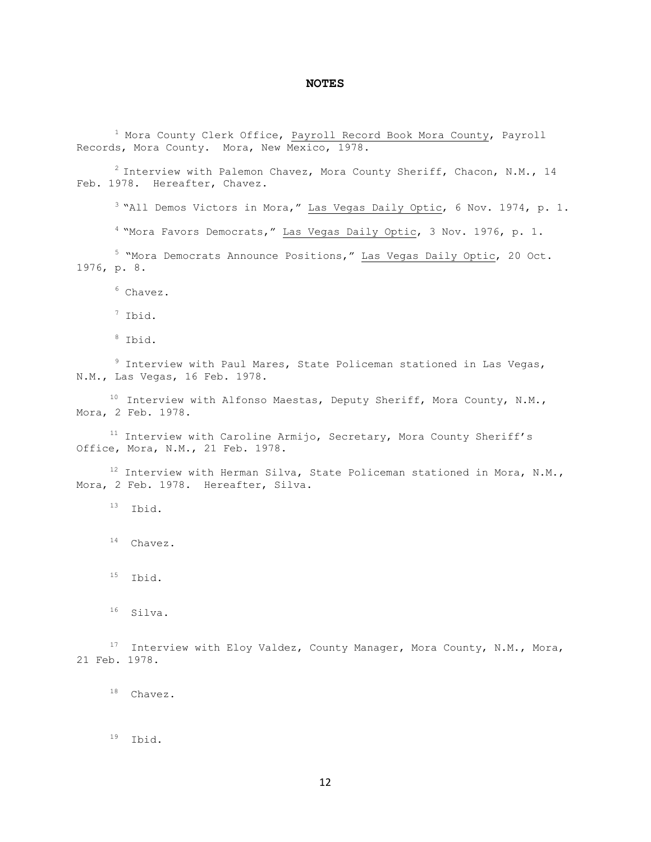## **NOTES**

 Mora County Clerk Office, Payroll Record Book Mora County, Payroll Records, Mora County. Mora, New Mexico, 1978.

 Interview with Palemon Chavez, Mora County Sheriff, Chacon, N.M., 14 Feb. 1978. Hereafter, Chavez.

<sup>3</sup> "All Demos Victors in Mora," Las Vegas Daily Optic, 6 Nov. 1974, p. 1.

"Mora Favors Democrats," Las Vegas Daily Optic, 3 Nov. 1976, p. 1.

 "Mora Democrats Announce Positions," Las Vegas Daily Optic, 20 Oct. 1976, p. 8.

Chavez.

Ibid.

Ibid.

 Interview with Paul Mares, State Policeman stationed in Las Vegas, N.M., Las Vegas, 16 Feb. 1978.

 Interview with Alfonso Maestas, Deputy Sheriff, Mora County, N.M., Mora, 2 Feb. 1978.

 Interview with Caroline Armijo, Secretary, Mora County Sheriff's Office, Mora, N.M., 21 Feb. 1978.

 Interview with Herman Silva, State Policeman stationed in Mora, N.M., Mora, 2 Feb. 1978. Hereafter, Silva.

Ibid.

Chavez.

Ibid.

Silva.

<sup>17</sup> Interview with Eloy Valdez, County Manager, Mora County, N.M., Mora, 21 Feb. 1978.

Chavez.

Ibid.